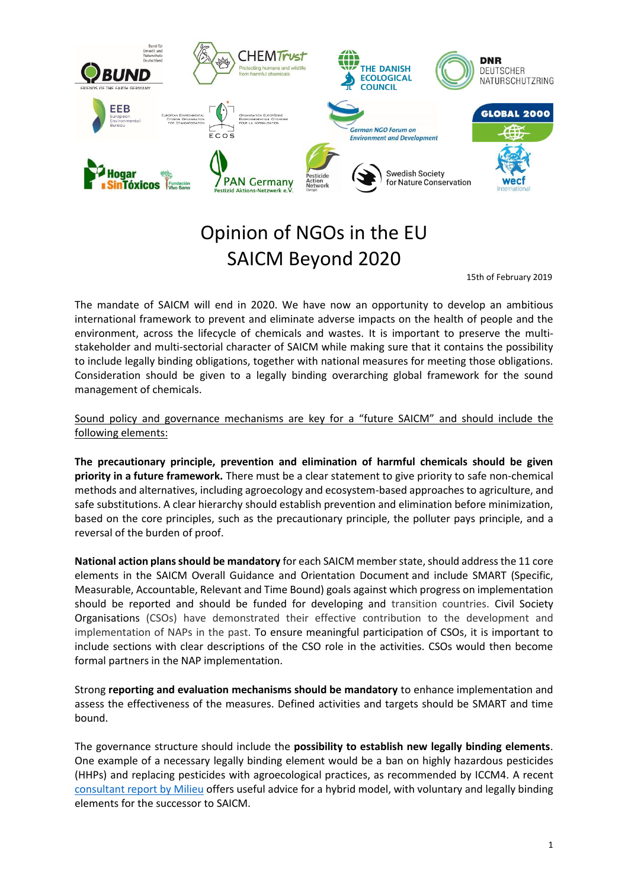

# Opinion of NGOs in the EU SAICM Beyond 2020

15th of February 2019

The mandate of SAICM will end in 2020. We have now an opportunity to develop an ambitious international framework to prevent and eliminate adverse impacts on the health of people and the environment, across the lifecycle of chemicals and wastes. It is important to preserve the multistakeholder and multi-sectorial character of SAICM while making sure that it contains the possibility to include legally binding obligations, together with national measures for meeting those obligations. Consideration should be given to a legally binding overarching global framework for the sound management of chemicals.

Sound policy and governance mechanisms are key for a "future SAICM" and should include the following elements:

**The precautionary principle, prevention and elimination of harmful chemicals should be given priority in a future framework.** There must be a clear statement to give priority to safe non-chemical methods and alternatives, including agroecology and ecosystem-based approaches to agriculture, and safe substitutions. A clear hierarchy should establish prevention and elimination before minimization, based on the core principles, such as the precautionary principle, the polluter pays principle, and a reversal of the burden of proof.

**National action plans should be mandatory** for each SAICM member state, should address the 11 core elements in the SAICM Overall Guidance and Orientation Document and include SMART (Specific, Measurable, Accountable, Relevant and Time Bound) goals against which progress on implementation should be reported and should be funded for developing and transition countries. Civil Society Organisations (CSOs) have demonstrated their effective contribution to the development and implementation of NAPs in the past. To ensure meaningful participation of CSOs, it is important to include sections with clear descriptions of the CSO role in the activities. CSOs would then become formal partners in the NAP implementation.

Strong **reporting and evaluation mechanisms should be mandatory** to enhance implementation and assess the effectiveness of the measures. Defined activities and targets should be SMART and time bound.

The governance structure should include the **possibility to establish new legally binding elements**. One example of a necessary legally binding element would be a ban on highly hazardous pesticides (HHPs) and replacing pesticides with agroecological practices, as recommended by ICCM4. A recent [consultant report by Milieu](https://www.naturskyddsforeningen.se/sites/default/files/dokument-media/report_on_legally_binding_elements.pdf) offers useful advice for a hybrid model, with voluntary and legally binding elements for the successor to SAICM.